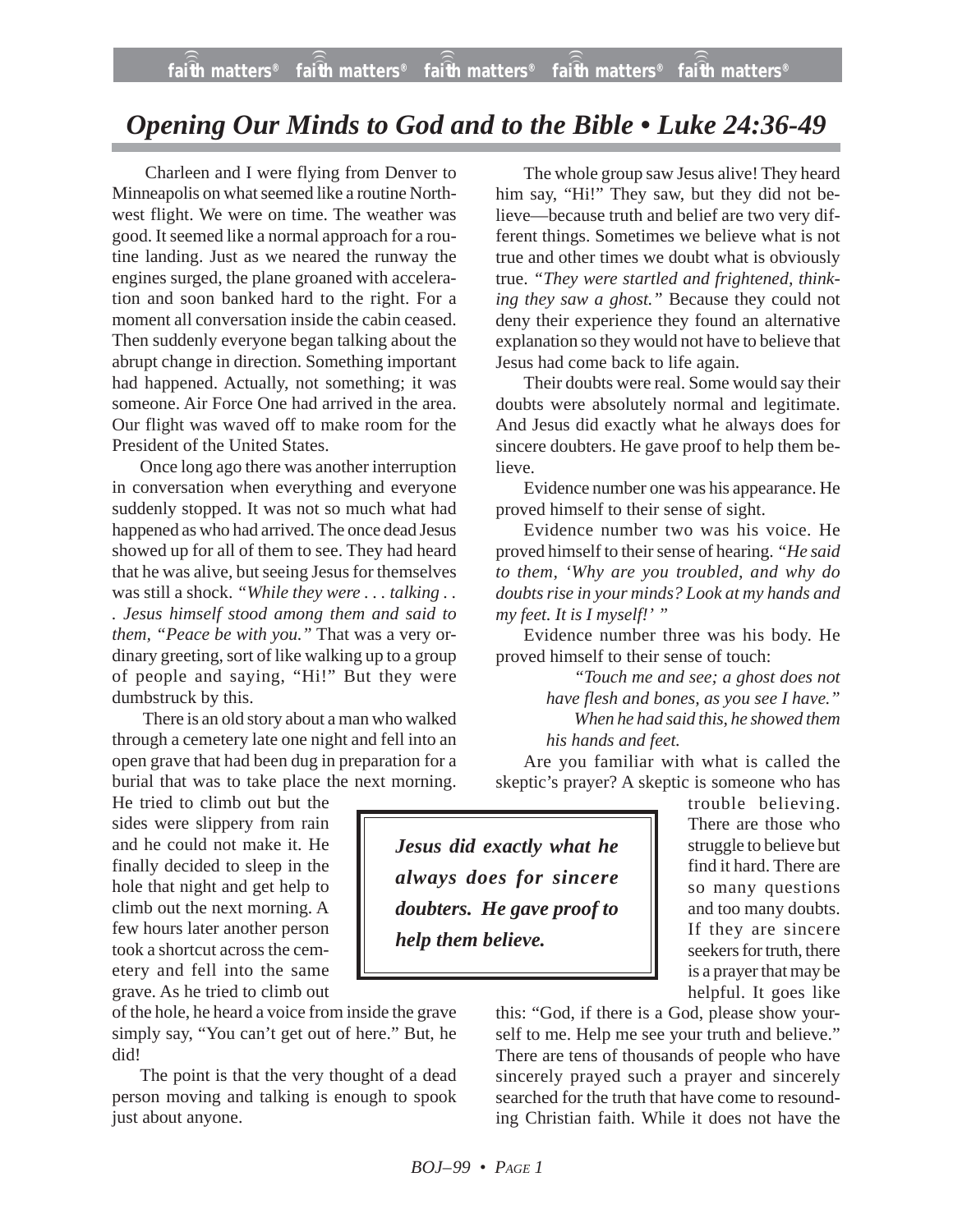## *Opening Our Minds to God and to the Bible • Luke 24:36-49*

Charleen and I were flying from Denver to Minneapolis on what seemed like a routine Northwest flight. We were on time. The weather was good. It seemed like a normal approach for a routine landing. Just as we neared the runway the engines surged, the plane groaned with acceleration and soon banked hard to the right. For a moment all conversation inside the cabin ceased. Then suddenly everyone began talking about the abrupt change in direction. Something important had happened. Actually, not something; it was someone. Air Force One had arrived in the area. Our flight was waved off to make room for the President of the United States.

Once long ago there was another interruption in conversation when everything and everyone suddenly stopped. It was not so much what had happened as who had arrived. The once dead Jesus showed up for all of them to see. They had heard that he was alive, but seeing Jesus for themselves was still a shock. *"While they were . . . talking . . . Jesus himself stood among them and said to them, "Peace be with you."* That was a very ordinary greeting, sort of like walking up to a group of people and saying, "Hi!" But they were dumbstruck by this.

There is an old story about a man who walked through a cemetery late one night and fell into an open grave that had been dug in preparation for a burial that was to take place the next morning.

He tried to climb out but the sides were slippery from rain and he could not make it. He finally decided to sleep in the hole that night and get help to climb out the next morning. A few hours later another person took a shortcut across the cemetery and fell into the same grave. As he tried to climb out

of the hole, he heard a voice from inside the grave simply say, "You can't get out of here." But, he did!

The point is that the very thought of a dead person moving and talking is enough to spook just about anyone.

The whole group saw Jesus alive! They heard him say, "Hi!" They saw, but they did not believe—because truth and belief are two very different things. Sometimes we believe what is not true and other times we doubt what is obviously true. *"They were startled and frightened, thinking they saw a ghost."* Because they could not deny their experience they found an alternative explanation so they would not have to believe that Jesus had come back to life again.

Their doubts were real. Some would say their doubts were absolutely normal and legitimate. And Jesus did exactly what he always does for sincere doubters. He gave proof to help them believe.

Evidence number one was his appearance. He proved himself to their sense of sight.

Evidence number two was his voice. He proved himself to their sense of hearing. *"He said to them, 'Why are you troubled, and why do doubts rise in your minds? Look at my hands and my feet. It is I myself!' "*

Evidence number three was his body. He proved himself to their sense of touch:

> *"Touch me and see; a ghost does not have flesh and bones, as you see I have." When he had said this, he showed them his hands and feet.*

Are you familiar with what is called the skeptic's prayer? A skeptic is someone who has

*Jesus did exactly what he always does for sincere doubters. He gave proof to help them believe.*

trouble believing. There are those who struggle to believe but find it hard. There are so many questions and too many doubts. If they are sincere seekers for truth, there is a prayer that may be helpful. It goes like

this: "God, if there is a God, please show yourself to me. Help me see your truth and believe." There are tens of thousands of people who have sincerely prayed such a prayer and sincerely searched for the truth that have come to resounding Christian faith. While it does not have the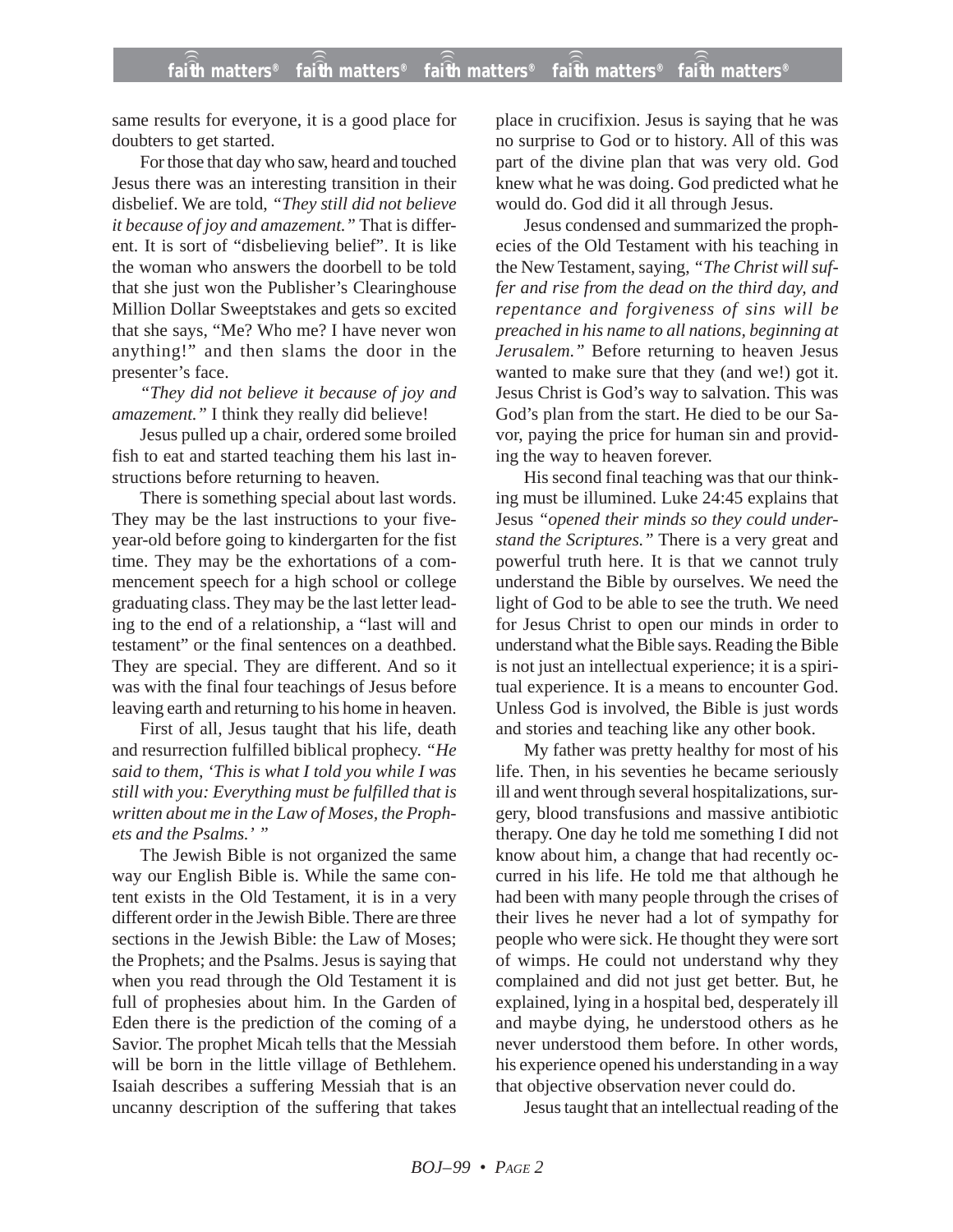same results for everyone, it is a good place for doubters to get started.

For those that day who saw, heard and touched Jesus there was an interesting transition in their disbelief. We are told, *"They still did not believe it because of joy and amazement."* That is different. It is sort of "disbelieving belief". It is like the woman who answers the doorbell to be told that she just won the Publisher's Clearinghouse Million Dollar Sweeptstakes and gets so excited that she says, "Me? Who me? I have never won anything!" and then slams the door in the presenter's face.

*"They did not believe it because of joy and amazement."* I think they really did believe!

Jesus pulled up a chair, ordered some broiled fish to eat and started teaching them his last instructions before returning to heaven.

There is something special about last words. They may be the last instructions to your fiveyear-old before going to kindergarten for the fist time. They may be the exhortations of a commencement speech for a high school or college graduating class. They may be the last letter leading to the end of a relationship, a "last will and testament" or the final sentences on a deathbed. They are special. They are different. And so it was with the final four teachings of Jesus before leaving earth and returning to his home in heaven.

First of all, Jesus taught that his life, death and resurrection fulfilled biblical prophecy. *"He said to them, 'This is what I told you while I was still with you: Everything must be fulfilled that is written about me in the Law of Moses, the Prophets and the Psalms.' "*

The Jewish Bible is not organized the same way our English Bible is. While the same content exists in the Old Testament, it is in a very different order in the Jewish Bible. There are three sections in the Jewish Bible: the Law of Moses; the Prophets; and the Psalms. Jesus is saying that when you read through the Old Testament it is full of prophesies about him. In the Garden of Eden there is the prediction of the coming of a Savior. The prophet Micah tells that the Messiah will be born in the little village of Bethlehem. Isaiah describes a suffering Messiah that is an uncanny description of the suffering that takes place in crucifixion. Jesus is saying that he was no surprise to God or to history. All of this was part of the divine plan that was very old. God knew what he was doing. God predicted what he would do. God did it all through Jesus.

Jesus condensed and summarized the prophecies of the Old Testament with his teaching in the New Testament, saying, *"The Christ will suffer and rise from the dead on the third day, and repentance and forgiveness of sins will be preached in his name to all nations, beginning at Jerusalem."* Before returning to heaven Jesus wanted to make sure that they (and we!) got it. Jesus Christ is God's way to salvation. This was God's plan from the start. He died to be our Savor, paying the price for human sin and providing the way to heaven forever.

His second final teaching was that our thinking must be illumined. Luke 24:45 explains that Jesus *"opened their minds so they could understand the Scriptures."* There is a very great and powerful truth here. It is that we cannot truly understand the Bible by ourselves. We need the light of God to be able to see the truth. We need for Jesus Christ to open our minds in order to understand what the Bible says. Reading the Bible is not just an intellectual experience; it is a spiritual experience. It is a means to encounter God. Unless God is involved, the Bible is just words and stories and teaching like any other book.

My father was pretty healthy for most of his life. Then, in his seventies he became seriously ill and went through several hospitalizations, surgery, blood transfusions and massive antibiotic therapy. One day he told me something I did not know about him, a change that had recently occurred in his life. He told me that although he had been with many people through the crises of their lives he never had a lot of sympathy for people who were sick. He thought they were sort of wimps. He could not understand why they complained and did not just get better. But, he explained, lying in a hospital bed, desperately ill and maybe dying, he understood others as he never understood them before. In other words, his experience opened his understanding in a way that objective observation never could do.

Jesus taught that an intellectual reading of the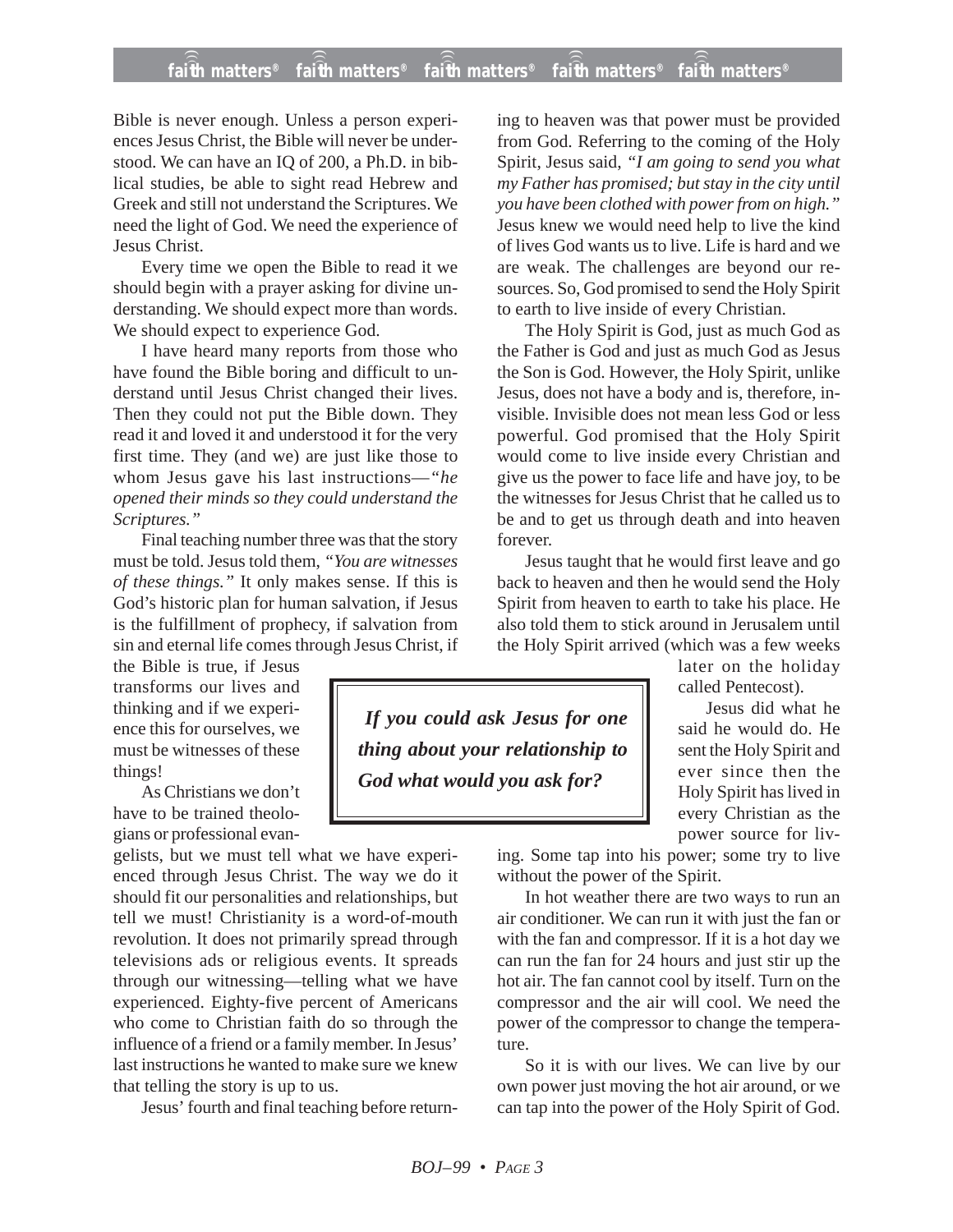## **faith matters® faith matters® faith matters® faith matters® faith matters®** ))) ))) ))) ))) )))

Bible is never enough. Unless a person experiences Jesus Christ, the Bible will never be understood. We can have an IQ of 200, a Ph.D. in biblical studies, be able to sight read Hebrew and Greek and still not understand the Scriptures. We need the light of God. We need the experience of Jesus Christ.

Every time we open the Bible to read it we should begin with a prayer asking for divine understanding. We should expect more than words. We should expect to experience God.

I have heard many reports from those who have found the Bible boring and difficult to understand until Jesus Christ changed their lives. Then they could not put the Bible down. They read it and loved it and understood it for the very first time. They (and we) are just like those to whom Jesus gave his last instructions—*"he opened their minds so they could understand the Scriptures."*

Final teaching number three was that the story must be told. Jesus told them, *"You are witnesses of these things."* It only makes sense. If this is God's historic plan for human salvation, if Jesus is the fulfillment of prophecy, if salvation from sin and eternal life comes through Jesus Christ, if

the Bible is true, if Jesus transforms our lives and thinking and if we experience this for ourselves, we must be witnesses of these things!

As Christians we don't have to be trained theologians or professional evan-

gelists, but we must tell what we have experienced through Jesus Christ. The way we do it should fit our personalities and relationships, but tell we must! Christianity is a word-of-mouth revolution. It does not primarily spread through televisions ads or religious events. It spreads through our witnessing—telling what we have experienced. Eighty-five percent of Americans who come to Christian faith do so through the influence of a friend or a family member. In Jesus' last instructions he wanted to make sure we knew that telling the story is up to us.

Jesus' fourth and final teaching before return-

ing to heaven was that power must be provided from God. Referring to the coming of the Holy Spirit, Jesus said, *"I am going to send you what my Father has promised; but stay in the city until you have been clothed with power from on high."* Jesus knew we would need help to live the kind of lives God wants us to live. Life is hard and we are weak. The challenges are beyond our resources. So, God promised to send the Holy Spirit to earth to live inside of every Christian.

The Holy Spirit is God, just as much God as the Father is God and just as much God as Jesus the Son is God. However, the Holy Spirit, unlike Jesus, does not have a body and is, therefore, invisible. Invisible does not mean less God or less powerful. God promised that the Holy Spirit would come to live inside every Christian and give us the power to face life and have joy, to be the witnesses for Jesus Christ that he called us to be and to get us through death and into heaven forever.

Jesus taught that he would first leave and go back to heaven and then he would send the Holy Spirit from heaven to earth to take his place. He also told them to stick around in Jerusalem until the Holy Spirit arrived (which was a few weeks

*If you could ask Jesus for one thing about your relationship to God what would you ask for?*

later on the holiday called Pentecost).

Jesus did what he said he would do. He sent the Holy Spirit and ever since then the Holy Spirit has lived in every Christian as the power source for liv-

ing. Some tap into his power; some try to live without the power of the Spirit.

In hot weather there are two ways to run an air conditioner. We can run it with just the fan or with the fan and compressor. If it is a hot day we can run the fan for 24 hours and just stir up the hot air. The fan cannot cool by itself. Turn on the compressor and the air will cool. We need the power of the compressor to change the temperature.

So it is with our lives. We can live by our own power just moving the hot air around, or we can tap into the power of the Holy Spirit of God.